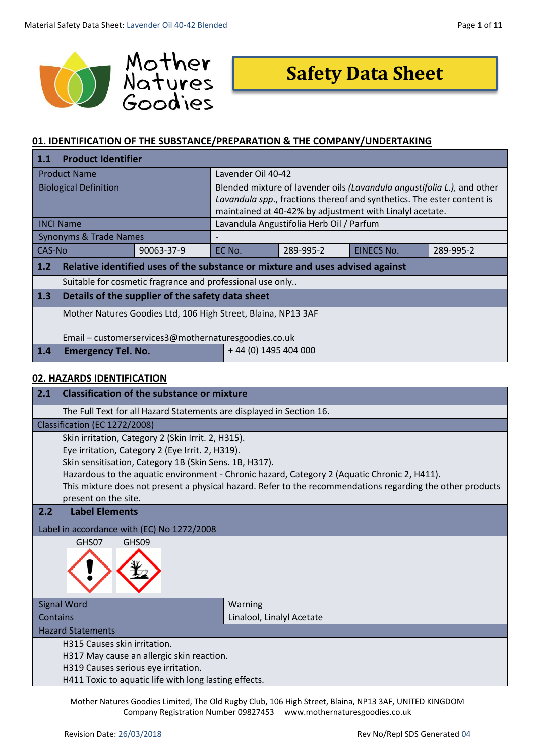

# **Safety Data Sheet**

# **01. IDENTIFICATION OF THE SUBSTANCE/PREPARATION & THE COMPANY/UNDERTAKING**

| <b>Product Identifier</b><br>1.1                                |                                                                               |                                          |                                                                         |           |
|-----------------------------------------------------------------|-------------------------------------------------------------------------------|------------------------------------------|-------------------------------------------------------------------------|-----------|
| Lavender Oil 40-42<br><b>Product Name</b>                       |                                                                               |                                          |                                                                         |           |
| <b>Biological Definition</b>                                    |                                                                               |                                          | Blended mixture of lavender oils (Lavandula angustifolia L.), and other |           |
|                                                                 | Lavandula spp., fractions thereof and synthetics. The ester content is        |                                          |                                                                         |           |
|                                                                 | maintained at 40-42% by adjustment with Linalyl acetate.                      |                                          |                                                                         |           |
| <b>INCI Name</b>                                                |                                                                               | Lavandula Angustifolia Herb Oil / Parfum |                                                                         |           |
| <b>Synonyms &amp; Trade Names</b>                               |                                                                               |                                          |                                                                         |           |
| CAS-No<br>90063-37-9                                            | EC No.                                                                        | 289-995-2                                | EINECS No.                                                              | 289-995-2 |
| 1.2                                                             | Relative identified uses of the substance or mixture and uses advised against |                                          |                                                                         |           |
|                                                                 | Suitable for cosmetic fragrance and professional use only                     |                                          |                                                                         |           |
| $\vert$ 1.3<br>Details of the supplier of the safety data sheet |                                                                               |                                          |                                                                         |           |
|                                                                 | Mother Natures Goodies Ltd, 106 High Street, Blaina, NP13 3AF                 |                                          |                                                                         |           |
|                                                                 |                                                                               |                                          |                                                                         |           |
|                                                                 | Email - customerservices3@mothernaturesgoodies.co.uk                          |                                          |                                                                         |           |
| $+44(0)$ 1495 404 000<br> 1.4 <br><b>Emergency Tel. No.</b>     |                                                                               |                                          |                                                                         |           |

# **02. HAZARDS IDENTIFICATION**

| 2.1<br><b>Classification of the substance or mixture</b> |                                                                                                            |  |  |
|----------------------------------------------------------|------------------------------------------------------------------------------------------------------------|--|--|
|                                                          | The Full Text for all Hazard Statements are displayed in Section 16.                                       |  |  |
| Classification (EC 1272/2008)                            |                                                                                                            |  |  |
| Skin irritation, Category 2 (Skin Irrit. 2, H315).       |                                                                                                            |  |  |
| Eye irritation, Category 2 (Eye Irrit. 2, H319).         |                                                                                                            |  |  |
| Skin sensitisation, Category 1B (Skin Sens. 1B, H317).   |                                                                                                            |  |  |
|                                                          | Hazardous to the aquatic environment - Chronic hazard, Category 2 (Aquatic Chronic 2, H411).               |  |  |
|                                                          | This mixture does not present a physical hazard. Refer to the recommendations regarding the other products |  |  |
| present on the site.                                     |                                                                                                            |  |  |
| <b>Label Elements</b><br>2.2                             |                                                                                                            |  |  |
| Label in accordance with (EC) No 1272/2008               |                                                                                                            |  |  |
| GHS09<br>GHS07                                           |                                                                                                            |  |  |
| <b>Signal Word</b>                                       | Warning                                                                                                    |  |  |
| Contains                                                 | Linalool, Linalyl Acetate                                                                                  |  |  |
| <b>Hazard Statements</b>                                 |                                                                                                            |  |  |
| H315 Causes skin irritation.                             |                                                                                                            |  |  |
| H317 May cause an allergic skin reaction.                |                                                                                                            |  |  |
| H319 Causes serious eye irritation.                      |                                                                                                            |  |  |
| H411 Toxic to aquatic life with long lasting effects.    |                                                                                                            |  |  |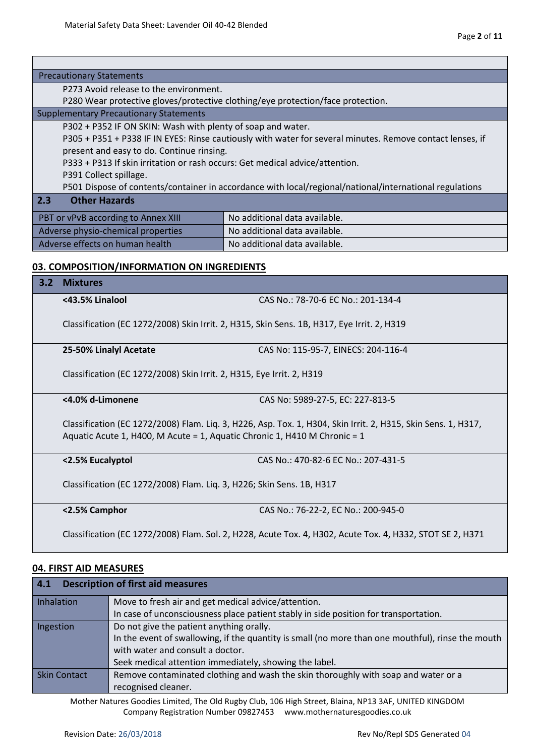Г

٦

| <b>Precautionary Statements</b>                                                                           |                                                                                                                                                                                            |                                                                                                           |  |  |  |
|-----------------------------------------------------------------------------------------------------------|--------------------------------------------------------------------------------------------------------------------------------------------------------------------------------------------|-----------------------------------------------------------------------------------------------------------|--|--|--|
|                                                                                                           | P273 Avoid release to the environment.                                                                                                                                                     |                                                                                                           |  |  |  |
|                                                                                                           |                                                                                                                                                                                            | P280 Wear protective gloves/protective clothing/eye protection/face protection.                           |  |  |  |
|                                                                                                           | <b>Supplementary Precautionary Statements</b>                                                                                                                                              |                                                                                                           |  |  |  |
|                                                                                                           | P302 + P352 IF ON SKIN: Wash with plenty of soap and water.                                                                                                                                |                                                                                                           |  |  |  |
|                                                                                                           |                                                                                                                                                                                            | P305 + P351 + P338 IF IN EYES: Rinse cautiously with water for several minutes. Remove contact lenses, if |  |  |  |
|                                                                                                           | present and easy to do. Continue rinsing.                                                                                                                                                  |                                                                                                           |  |  |  |
|                                                                                                           | P333 + P313 If skin irritation or rash occurs: Get medical advice/attention.                                                                                                               |                                                                                                           |  |  |  |
|                                                                                                           | P391 Collect spillage.                                                                                                                                                                     |                                                                                                           |  |  |  |
|                                                                                                           |                                                                                                                                                                                            | P501 Dispose of contents/container in accordance with local/regional/national/international regulations   |  |  |  |
| 2.3                                                                                                       | <b>Other Hazards</b>                                                                                                                                                                       |                                                                                                           |  |  |  |
|                                                                                                           | PBT or vPvB according to Annex XIII                                                                                                                                                        | No additional data available.                                                                             |  |  |  |
|                                                                                                           | Adverse physio-chemical properties                                                                                                                                                         | No additional data available.                                                                             |  |  |  |
|                                                                                                           | Adverse effects on human health                                                                                                                                                            | No additional data available.                                                                             |  |  |  |
|                                                                                                           |                                                                                                                                                                                            |                                                                                                           |  |  |  |
|                                                                                                           | 03. COMPOSITION/INFORMATION ON INGREDIENTS                                                                                                                                                 |                                                                                                           |  |  |  |
| 3.2                                                                                                       | <b>Mixtures</b>                                                                                                                                                                            |                                                                                                           |  |  |  |
|                                                                                                           | <43.5% Linalool<br>CAS No.: 78-70-6 EC No.: 201-134-4                                                                                                                                      |                                                                                                           |  |  |  |
|                                                                                                           | Classification (EC 1272/2008) Skin Irrit. 2, H315, Skin Sens. 1B, H317, Eye Irrit. 2, H319                                                                                                 |                                                                                                           |  |  |  |
|                                                                                                           | CAS No: 115-95-7, EINECS: 204-116-4<br>25-50% Linalyl Acetate                                                                                                                              |                                                                                                           |  |  |  |
|                                                                                                           | Classification (EC 1272/2008) Skin Irrit. 2, H315, Eye Irrit. 2, H319                                                                                                                      |                                                                                                           |  |  |  |
|                                                                                                           | <4.0% d-Limonene                                                                                                                                                                           | CAS No: 5989-27-5, EC: 227-813-5                                                                          |  |  |  |
|                                                                                                           | Classification (EC 1272/2008) Flam. Liq. 3, H226, Asp. Tox. 1, H304, Skin Irrit. 2, H315, Skin Sens. 1, H317,<br>Aquatic Acute 1, H400, M Acute = 1, Aquatic Chronic 1, H410 M Chronic = 1 |                                                                                                           |  |  |  |
|                                                                                                           | CAS No.: 470-82-6 EC No.: 207-431-5<br><2.5% Eucalyptol                                                                                                                                    |                                                                                                           |  |  |  |
|                                                                                                           | Classification (EC 1272/2008) Flam. Liq. 3, H226; Skin Sens. 1B, H317                                                                                                                      |                                                                                                           |  |  |  |
|                                                                                                           | <2.5% Camphor                                                                                                                                                                              | CAS No.: 76-22-2, EC No.: 200-945-0                                                                       |  |  |  |
| Classification (EC 1272/2008) Flam. Sol. 2, H228, Acute Tox. 4, H302, Acute Tox. 4, H332, STOT SE 2, H371 |                                                                                                                                                                                            |                                                                                                           |  |  |  |

# **04. FIRST AID MEASURES**

| 4.1<br><b>Description of first aid measures</b>                                                    |                                                                                      |  |  |
|----------------------------------------------------------------------------------------------------|--------------------------------------------------------------------------------------|--|--|
| Inhalation                                                                                         | Move to fresh air and get medical advice/attention.                                  |  |  |
|                                                                                                    | In case of unconsciousness place patient stably in side position for transportation. |  |  |
| Do not give the patient anything orally.<br>Ingestion                                              |                                                                                      |  |  |
| In the event of swallowing, if the quantity is small (no more than one mouthful), rinse the mouth  |                                                                                      |  |  |
| with water and consult a doctor.                                                                   |                                                                                      |  |  |
|                                                                                                    | Seek medical attention immediately, showing the label.                               |  |  |
| Remove contaminated clothing and wash the skin thoroughly with soap and water or a<br>Skin Contact |                                                                                      |  |  |
|                                                                                                    | recognised cleaner.                                                                  |  |  |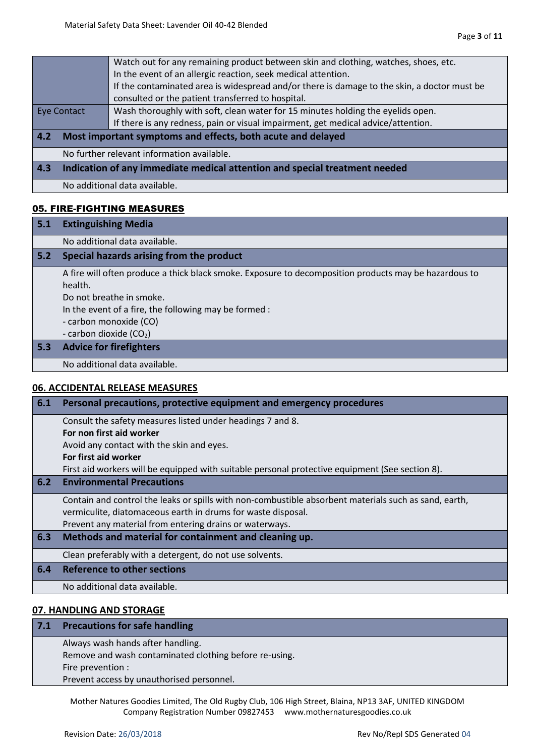| In the event of an allergic reaction, seek medical attention.                                         |                                                                            | Watch out for any remaining product between skin and clothing, watches, shoes, etc. |  |  |
|-------------------------------------------------------------------------------------------------------|----------------------------------------------------------------------------|-------------------------------------------------------------------------------------|--|--|
| If the contaminated area is widespread and/or there is damage to the skin, a doctor must be           |                                                                            |                                                                                     |  |  |
| consulted or the patient transferred to hospital.                                                     |                                                                            |                                                                                     |  |  |
| Wash thoroughly with soft, clean water for 15 minutes holding the eyelids open.<br><b>Eye Contact</b> |                                                                            |                                                                                     |  |  |
|                                                                                                       |                                                                            | If there is any redness, pain or visual impairment, get medical advice/attention.   |  |  |
| 4.2                                                                                                   | Most important symptoms and effects, both acute and delayed                |                                                                                     |  |  |
|                                                                                                       | No further relevant information available.                                 |                                                                                     |  |  |
| 4.3                                                                                                   | Indication of any immediate medical attention and special treatment needed |                                                                                     |  |  |
|                                                                                                       | No additional data available.                                              |                                                                                     |  |  |

## 05. FIRE-FIGHTING MEASURES

| 5.1 | <b>Extinguishing Media</b>                                                                                                                                                                                                                                  |
|-----|-------------------------------------------------------------------------------------------------------------------------------------------------------------------------------------------------------------------------------------------------------------|
|     | No additional data available.                                                                                                                                                                                                                               |
| 5.2 | Special hazards arising from the product                                                                                                                                                                                                                    |
|     | A fire will often produce a thick black smoke. Exposure to decomposition products may be hazardous to<br>health.<br>Do not breathe in smoke.<br>In the event of a fire, the following may be formed :<br>- carbon monoxide (CO)<br>- carbon dioxide $(CO2)$ |
| 5.3 | <b>Advice for firefighters</b>                                                                                                                                                                                                                              |
|     | No additional data available.                                                                                                                                                                                                                               |
|     | 06. ACCIDENTAL RELEASE MEASURES                                                                                                                                                                                                                             |
| 6.1 | Personal precautions, protective equipment and emergency procedures                                                                                                                                                                                         |
|     | Consult the safety measures listed under headings 7 and 8.                                                                                                                                                                                                  |

**For non first aid worker**

Avoid any contact with the skin and eyes.

**For first aid worker**

First aid workers will be equipped with suitable personal protective equipment (See section 8).

**6.2 Environmental Precautions**

Contain and control the leaks or spills with non-combustible absorbent materials such as sand, earth, vermiculite, diatomaceous earth in drums for waste disposal. Prevent any material from entering drains or waterways.

**6.3 Methods and material for containment and cleaning up.**

Clean preferably with a detergent, do not use solvents.

**6.4 Reference to other sections**

No additional data available.

## **07. HANDLING AND STORAGE**

| 7.1 Precautions for safe handling                      |
|--------------------------------------------------------|
| Always wash hands after handling.                      |
| Remove and wash contaminated clothing before re-using. |
| Fire prevention :                                      |

Prevent access by unauthorised personnel.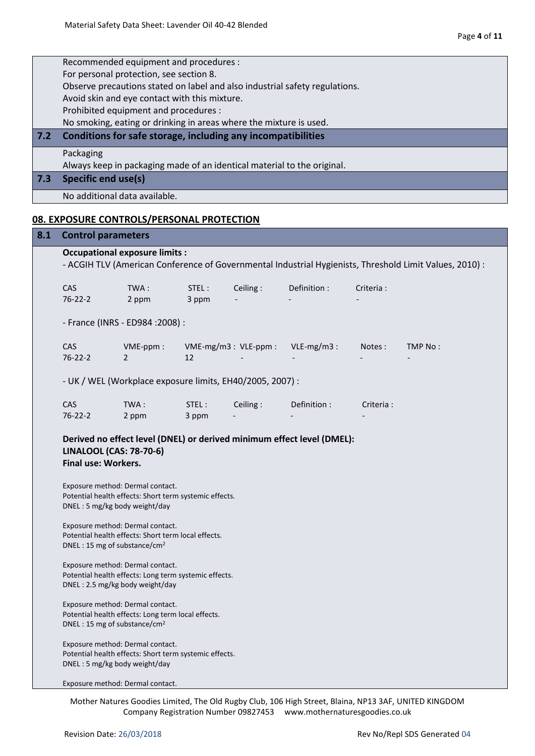|     | Recommended equipment and procedures :<br>For personal protection, see section 8.<br>Observe precautions stated on label and also industrial safety regulations.<br>Avoid skin and eye contact with this mixture.<br>Prohibited equipment and procedures :<br>No smoking, eating or drinking in areas where the mixture is used. |                                                                         |                |          |                                                                        |            |                                                                                                         |
|-----|----------------------------------------------------------------------------------------------------------------------------------------------------------------------------------------------------------------------------------------------------------------------------------------------------------------------------------|-------------------------------------------------------------------------|----------------|----------|------------------------------------------------------------------------|------------|---------------------------------------------------------------------------------------------------------|
| 7.2 |                                                                                                                                                                                                                                                                                                                                  | Conditions for safe storage, including any incompatibilities            |                |          |                                                                        |            |                                                                                                         |
|     | Packaging                                                                                                                                                                                                                                                                                                                        | Always keep in packaging made of an identical material to the original. |                |          |                                                                        |            |                                                                                                         |
| 7.3 | <b>Specific end use(s)</b>                                                                                                                                                                                                                                                                                                       |                                                                         |                |          |                                                                        |            |                                                                                                         |
|     | No additional data available.                                                                                                                                                                                                                                                                                                    |                                                                         |                |          |                                                                        |            |                                                                                                         |
|     |                                                                                                                                                                                                                                                                                                                                  | <b>08. EXPOSURE CONTROLS/PERSONAL PROTECTION</b>                        |                |          |                                                                        |            |                                                                                                         |
| 8.1 | <b>Control parameters</b>                                                                                                                                                                                                                                                                                                        |                                                                         |                |          |                                                                        |            |                                                                                                         |
|     |                                                                                                                                                                                                                                                                                                                                  | <b>Occupational exposure limits:</b>                                    |                |          |                                                                        |            | - ACGIH TLV (American Conference of Governmental Industrial Hygienists, Threshold Limit Values, 2010) : |
|     | <b>CAS</b><br>$76 - 22 - 2$                                                                                                                                                                                                                                                                                                      | TWA:<br>2 ppm                                                           | STEL:<br>3 ppm | Ceiling: | Definition :                                                           | Criteria : |                                                                                                         |
|     |                                                                                                                                                                                                                                                                                                                                  | - France (INRS - ED984 : 2008) :                                        |                |          |                                                                        |            |                                                                                                         |
|     | CAS<br>$76 - 22 - 2$                                                                                                                                                                                                                                                                                                             | VME-ppm:<br>2                                                           | 12             |          | VME-mg/m3: VLE-ppm: VLE-mg/m3:                                         | Notes:     | TMP No:                                                                                                 |
|     |                                                                                                                                                                                                                                                                                                                                  | - UK / WEL (Workplace exposure limits, EH40/2005, 2007) :               |                |          |                                                                        |            |                                                                                                         |
|     | <b>CAS</b><br>$76 - 22 - 2$                                                                                                                                                                                                                                                                                                      | TWA:<br>2 ppm                                                           | STEL:<br>3 ppm | Ceiling: | Definition:                                                            | Criteria:  |                                                                                                         |
|     | <b>LINALOOL (CAS: 78-70-6)</b><br>Final use: Workers.                                                                                                                                                                                                                                                                            |                                                                         |                |          | Derived no effect level (DNEL) or derived minimum effect level (DMEL): |            |                                                                                                         |
|     | Exposure method: Dermal contact.<br>DNEL: 5 mg/kg body weight/day                                                                                                                                                                                                                                                                | Potential health effects: Short term systemic effects.                  |                |          |                                                                        |            |                                                                                                         |
|     | Exposure method: Dermal contact.<br>DNEL: 15 mg of substance/cm <sup>2</sup>                                                                                                                                                                                                                                                     | Potential health effects: Short term local effects.                     |                |          |                                                                        |            |                                                                                                         |
|     | Exposure method: Dermal contact.<br>DNEL: 2.5 mg/kg body weight/day                                                                                                                                                                                                                                                              | Potential health effects: Long term systemic effects.                   |                |          |                                                                        |            |                                                                                                         |
|     | Exposure method: Dermal contact.<br>DNEL: 15 mg of substance/cm <sup>2</sup>                                                                                                                                                                                                                                                     | Potential health effects: Long term local effects.                      |                |          |                                                                        |            |                                                                                                         |
|     | Exposure method: Dermal contact.<br>DNEL: 5 mg/kg body weight/day                                                                                                                                                                                                                                                                | Potential health effects: Short term systemic effects.                  |                |          |                                                                        |            |                                                                                                         |

Exposure method: Dermal contact.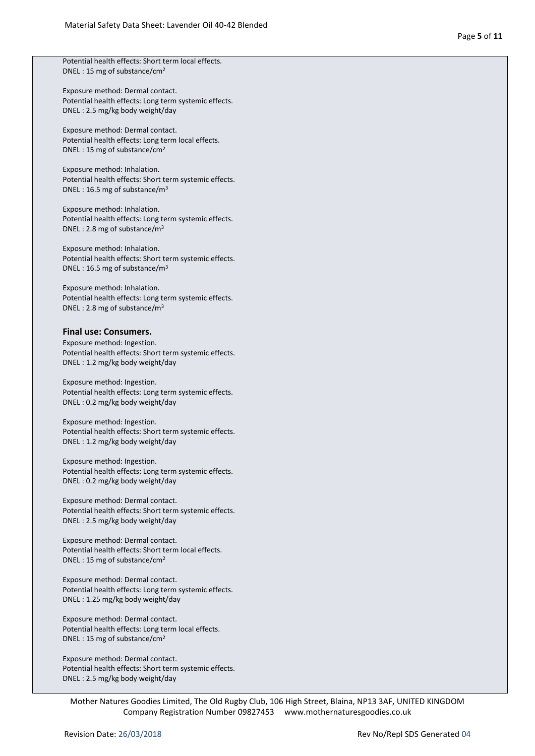Potential health effects: Short term local effects. DNEL : 15 mg of substance/cm<sup>2</sup>

Exposure method: Dermal contact. Potential health effects: Long term systemic effects. DNEL : 2.5 mg/kg body weight/day

Exposure method: Dermal contact. Potential health effects: Long term local effects. DNEL : 15 mg of substance/cm<sup>2</sup>

Exposure method: Inhalation. Potential health effects: Short term systemic effects. DNEL : 16.5 mg of substance/m<sup>3</sup>

Exposure method: Inhalation. Potential health effects: Long term systemic effects. DNEL : 2.8 mg of substance/m<sup>3</sup>

Exposure method: Inhalation. Potential health effects: Short term systemic effects. DNEL : 16.5 mg of substance/m<sup>3</sup>

Exposure method: Inhalation. Potential health effects: Long term systemic effects. DNEL : 2.8 mg of substance/m<sup>3</sup>

#### **Final use: Consumers.**

Exposure method: Ingestion. Potential health effects: Short term systemic effects. DNEL : 1.2 mg/kg body weight/day

Exposure method: Ingestion. Potential health effects: Long term systemic effects. DNEL : 0.2 mg/kg body weight/day

Exposure method: Ingestion. Potential health effects: Short term systemic effects. DNEL : 1.2 mg/kg body weight/day

Exposure method: Ingestion. Potential health effects: Long term systemic effects. DNEL : 0.2 mg/kg body weight/day

Exposure method: Dermal contact. Potential health effects: Short term systemic effects. DNEL : 2.5 mg/kg body weight/day

Exposure method: Dermal contact. Potential health effects: Short term local effects. DNEL : 15 mg of substance/cm<sup>2</sup>

Exposure method: Dermal contact. Potential health effects: Long term systemic effects. DNEL : 1.25 mg/kg body weight/day

Exposure method: Dermal contact. Potential health effects: Long term local effects. DNEL : 15 mg of substance/cm<sup>2</sup>

Exposure method: Dermal contact. Potential health effects: Short term systemic effects. DNEL : 2.5 mg/kg body weight/day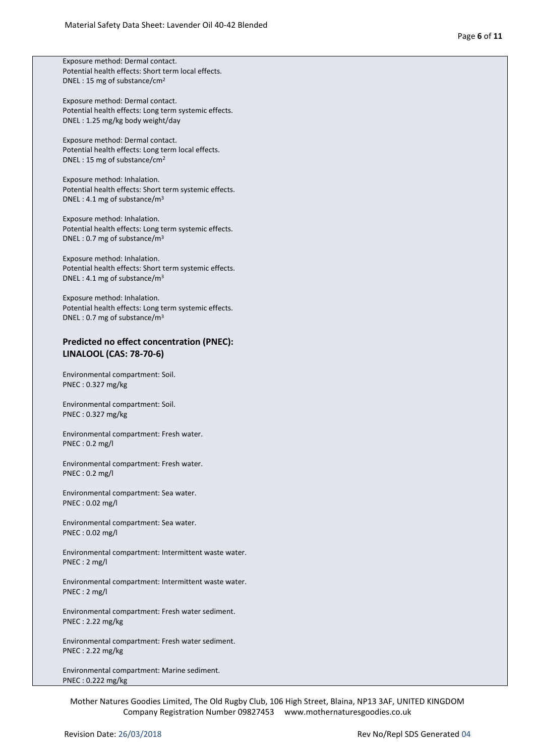Exposure method: Dermal contact. Potential health effects: Short term local effects. DNEL : 15 mg of substance/cm<sup>2</sup>

Exposure method: Dermal contact. Potential health effects: Long term systemic effects. DNEL : 1.25 mg/kg body weight/day

Exposure method: Dermal contact. Potential health effects: Long term local effects. DNEL : 15 mg of substance/cm<sup>2</sup>

Exposure method: Inhalation. Potential health effects: Short term systemic effects. DNEL : 4.1 mg of substance/m<sup>3</sup>

Exposure method: Inhalation. Potential health effects: Long term systemic effects. DNEL : 0.7 mg of substance/m<sup>3</sup>

Exposure method: Inhalation. Potential health effects: Short term systemic effects. DNEL : 4.1 mg of substance/m<sup>3</sup>

Exposure method: Inhalation. Potential health effects: Long term systemic effects. DNEL : 0.7 mg of substance/m<sup>3</sup>

#### **Predicted no effect concentration (PNEC): LINALOOL (CAS: 78-70-6)**

Environmental compartment: Soil. PNEC : 0.327 mg/kg

Environmental compartment: Soil. PNEC : 0.327 mg/kg

Environmental compartment: Fresh water. PNEC : 0.2 mg/l

Environmental compartment: Fresh water. PNEC : 0.2 mg/l

Environmental compartment: Sea water. PNEC : 0.02 mg/l

Environmental compartment: Sea water. PNEC : 0.02 mg/l

Environmental compartment: Intermittent waste water. PNEC : 2 mg/l

Environmental compartment: Intermittent waste water. PNEC : 2 mg/l

Environmental compartment: Fresh water sediment. PNEC : 2.22 mg/kg

Environmental compartment: Fresh water sediment. PNEC : 2.22 mg/kg

Environmental compartment: Marine sediment. PNEC : 0.222 mg/kg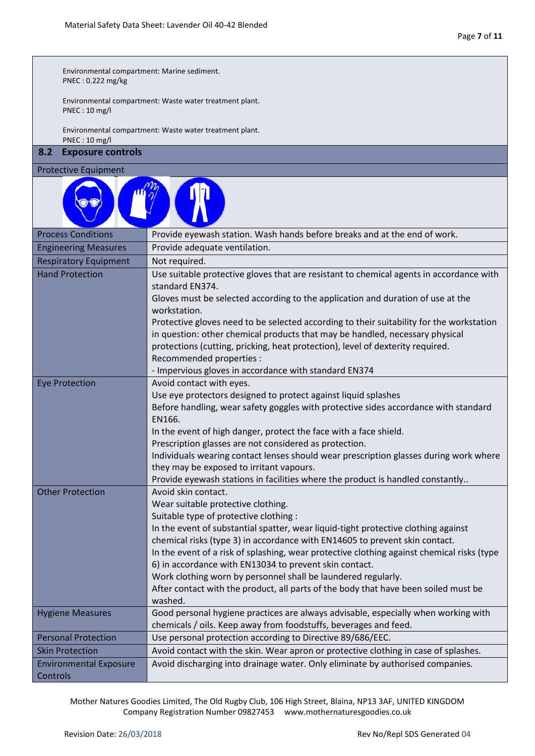Г

| Environmental compartment: Marine sediment.<br>PNEC: 0.222 mg/kg |                                                                                                                                                                          |  |  |  |  |
|------------------------------------------------------------------|--------------------------------------------------------------------------------------------------------------------------------------------------------------------------|--|--|--|--|
| PNEC: 10 mg/l                                                    | Environmental compartment: Waste water treatment plant.                                                                                                                  |  |  |  |  |
| PNEC: 10 mg/l                                                    | Environmental compartment: Waste water treatment plant.                                                                                                                  |  |  |  |  |
| 8.2<br><b>Exposure controls</b>                                  |                                                                                                                                                                          |  |  |  |  |
| <b>Protective Equipment</b>                                      |                                                                                                                                                                          |  |  |  |  |
|                                                                  |                                                                                                                                                                          |  |  |  |  |
| <b>Process Conditions</b>                                        | Provide eyewash station. Wash hands before breaks and at the end of work.                                                                                                |  |  |  |  |
| <b>Engineering Measures</b>                                      | Provide adequate ventilation.                                                                                                                                            |  |  |  |  |
| <b>Respiratory Equipment</b>                                     | Not required.                                                                                                                                                            |  |  |  |  |
| <b>Hand Protection</b>                                           | Use suitable protective gloves that are resistant to chemical agents in accordance with<br>standard EN374.                                                               |  |  |  |  |
|                                                                  | Gloves must be selected according to the application and duration of use at the                                                                                          |  |  |  |  |
|                                                                  | workstation.                                                                                                                                                             |  |  |  |  |
|                                                                  | Protective gloves need to be selected according to their suitability for the workstation<br>in question: other chemical products that may be handled, necessary physical |  |  |  |  |
|                                                                  | protections (cutting, pricking, heat protection), level of dexterity required.                                                                                           |  |  |  |  |
|                                                                  | Recommended properties :                                                                                                                                                 |  |  |  |  |
|                                                                  | - Impervious gloves in accordance with standard EN374                                                                                                                    |  |  |  |  |
| <b>Eye Protection</b>                                            | Avoid contact with eyes.                                                                                                                                                 |  |  |  |  |
|                                                                  | Use eye protectors designed to protect against liquid splashes                                                                                                           |  |  |  |  |
|                                                                  | Before handling, wear safety goggles with protective sides accordance with standard                                                                                      |  |  |  |  |
|                                                                  | EN166.                                                                                                                                                                   |  |  |  |  |
|                                                                  | In the event of high danger, protect the face with a face shield.                                                                                                        |  |  |  |  |
|                                                                  | Prescription glasses are not considered as protection.                                                                                                                   |  |  |  |  |
|                                                                  | Individuals wearing contact lenses should wear prescription glasses during work where                                                                                    |  |  |  |  |
|                                                                  | they may be exposed to irritant vapours.                                                                                                                                 |  |  |  |  |
|                                                                  | Provide eyewash stations in facilities where the product is handled constantly                                                                                           |  |  |  |  |
| <b>Other Protection</b>                                          | Avoid skin contact.                                                                                                                                                      |  |  |  |  |
|                                                                  | Wear suitable protective clothing.                                                                                                                                       |  |  |  |  |
|                                                                  | Suitable type of protective clothing :                                                                                                                                   |  |  |  |  |
|                                                                  | In the event of substantial spatter, wear liquid-tight protective clothing against                                                                                       |  |  |  |  |
|                                                                  | chemical risks (type 3) in accordance with EN14605 to prevent skin contact.                                                                                              |  |  |  |  |
|                                                                  | In the event of a risk of splashing, wear protective clothing against chemical risks (type                                                                               |  |  |  |  |
|                                                                  | 6) in accordance with EN13034 to prevent skin contact.                                                                                                                   |  |  |  |  |
|                                                                  | Work clothing worn by personnel shall be laundered regularly.                                                                                                            |  |  |  |  |
|                                                                  | After contact with the product, all parts of the body that have been soiled must be                                                                                      |  |  |  |  |
|                                                                  | washed.<br>Good personal hygiene practices are always advisable, especially when working with                                                                            |  |  |  |  |
| <b>Hygiene Measures</b>                                          | chemicals / oils. Keep away from foodstuffs, beverages and feed.                                                                                                         |  |  |  |  |
| <b>Personal Protection</b>                                       | Use personal protection according to Directive 89/686/EEC.                                                                                                               |  |  |  |  |
| <b>Skin Protection</b>                                           | Avoid contact with the skin. Wear apron or protective clothing in case of splashes.                                                                                      |  |  |  |  |
| <b>Environmental Exposure</b>                                    | Avoid discharging into drainage water. Only eliminate by authorised companies.                                                                                           |  |  |  |  |
| Controls                                                         |                                                                                                                                                                          |  |  |  |  |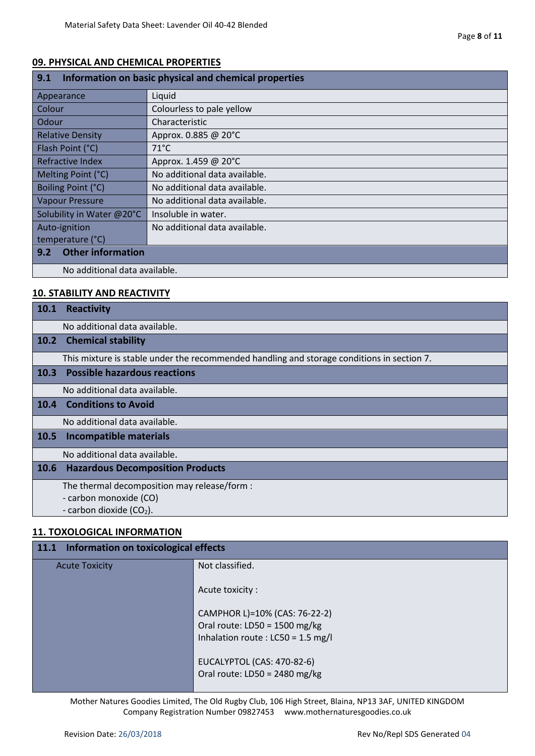## **09. PHYSICAL AND CHEMICAL PROPERTIES**

| 9.1<br>Information on basic physical and chemical properties |                               |  |
|--------------------------------------------------------------|-------------------------------|--|
| Appearance                                                   | Liquid                        |  |
| Colour                                                       | Colourless to pale yellow     |  |
| <b>Odour</b>                                                 | Characteristic                |  |
| <b>Relative Density</b>                                      | Approx. 0.885 @ 20°C          |  |
| Flash Point (°C)                                             | $71^{\circ}$ C                |  |
| Refractive Index                                             | Approx. 1.459 @ 20°C          |  |
| Melting Point (°C)                                           | No additional data available. |  |
| Boiling Point (°C)                                           | No additional data available. |  |
| <b>Vapour Pressure</b>                                       | No additional data available. |  |
| Insoluble in water.<br>Solubility in Water @20°C             |                               |  |
| Auto-ignition                                                | No additional data available. |  |
| temperature (°C)                                             |                               |  |
| <b>Other information</b><br>9.2                              |                               |  |
| No additional data available.                                |                               |  |

# **10. STABILITY AND REACTIVITY**

| <b>10.1</b> | <b>Reactivity</b>                                                                          |
|-------------|--------------------------------------------------------------------------------------------|
|             | No additional data available.                                                              |
| 10.2        | <b>Chemical stability</b>                                                                  |
|             | This mixture is stable under the recommended handling and storage conditions in section 7. |
| 10.3        | <b>Possible hazardous reactions</b>                                                        |
|             | No additional data available.                                                              |
| 10.4        | <b>Conditions to Avoid</b>                                                                 |
|             | No additional data available.                                                              |
| 10.5        | <b>Incompatible materials</b>                                                              |
|             | No additional data available.                                                              |
| 10.6        | <b>Hazardous Decomposition Products</b>                                                    |
|             | The thermal decomposition may release/form :                                               |
|             | - carbon monoxide (CO)                                                                     |
|             | - carbon dioxide $(CO2)$ .                                                                 |

# **11. TOXOLOGICAL INFORMATION**

| 11.1 Information on toxicological effects |                                                                                                       |  |  |
|-------------------------------------------|-------------------------------------------------------------------------------------------------------|--|--|
| <b>Acute Toxicity</b>                     | Not classified.                                                                                       |  |  |
|                                           | Acute toxicity:                                                                                       |  |  |
|                                           | CAMPHOR L)=10% (CAS: 76-22-2)<br>Oral route: $LD50 = 1500$ mg/kg<br>Inhalation route: LC50 = 1.5 mg/l |  |  |
|                                           | EUCALYPTOL (CAS: 470-82-6)<br>Oral route: $LD50 = 2480$ mg/kg                                         |  |  |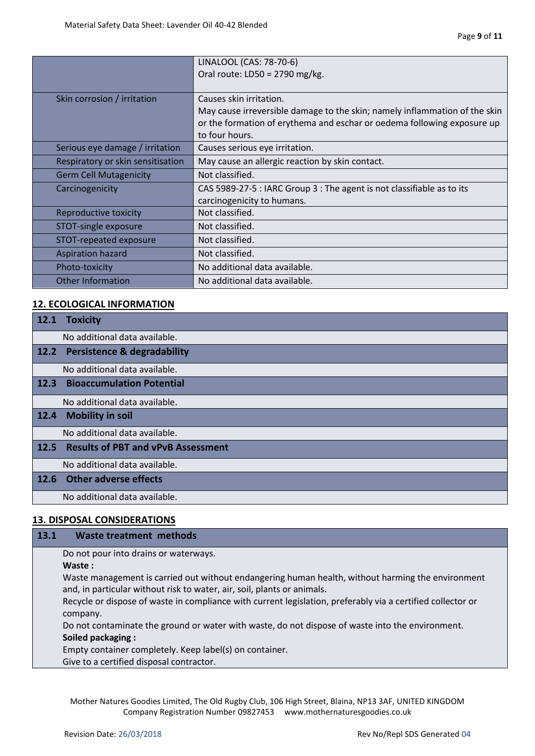|                                   | LINALOOL (CAS: 78-70-6)                                                    |
|-----------------------------------|----------------------------------------------------------------------------|
|                                   | Oral route: LD50 = 2790 mg/kg.                                             |
|                                   |                                                                            |
| Skin corrosion / irritation       | Causes skin irritation.                                                    |
|                                   | May cause irreversible damage to the skin; namely inflammation of the skin |
|                                   | or the formation of erythema and eschar or oedema following exposure up    |
|                                   | to four hours.                                                             |
| Serious eye damage / irritation   | Causes serious eye irritation.                                             |
| Respiratory or skin sensitisation | May cause an allergic reaction by skin contact.                            |
| <b>Germ Cell Mutagenicity</b>     | Not classified.                                                            |
| Carcinogenicity                   | CAS 5989-27-5 : IARC Group 3 : The agent is not classifiable as to its     |
|                                   | carcinogenicity to humans.                                                 |
| Reproductive toxicity             | Not classified.                                                            |
| STOT-single exposure              | Not classified.                                                            |
| STOT-repeated exposure            | Not classified.                                                            |
| <b>Aspiration hazard</b>          | Not classified.                                                            |
| Photo-toxicity                    | No additional data available.                                              |
| <b>Other Information</b>          | No additional data available.                                              |

# **12. ECOLOGICAL INFORMATION**

| 12.1        | <b>Toxicity</b>                           |
|-------------|-------------------------------------------|
|             | No additional data available.             |
|             | 12.2 Persistence & degradability          |
|             | No additional data available.             |
| 12.3        | <b>Bioaccumulation Potential</b>          |
|             | No additional data available.             |
| 12.4        | <b>Mobility in soil</b>                   |
|             | No additional data available.             |
| <b>12.5</b> | <b>Results of PBT and vPvB Assessment</b> |
|             | No additional data available.             |
| 12.6        | <b>Other adverse effects</b>              |
|             | No additional data available.             |

# **13. DISPOSAL CONSIDERATIONS**

# **13.1 Waste treatment methods**

Do not pour into drains or waterways.

**Waste :**

Waste management is carried out without endangering human health, without harming the environment and, in particular without risk to water, air, soil, plants or animals.

Recycle or dispose of waste in compliance with current legislation, preferably via a certified collector or company.

Do not contaminate the ground or water with waste, do not dispose of waste into the environment. **Soiled packaging :**

Empty container completely. Keep label(s) on container.

Give to a certified disposal contractor.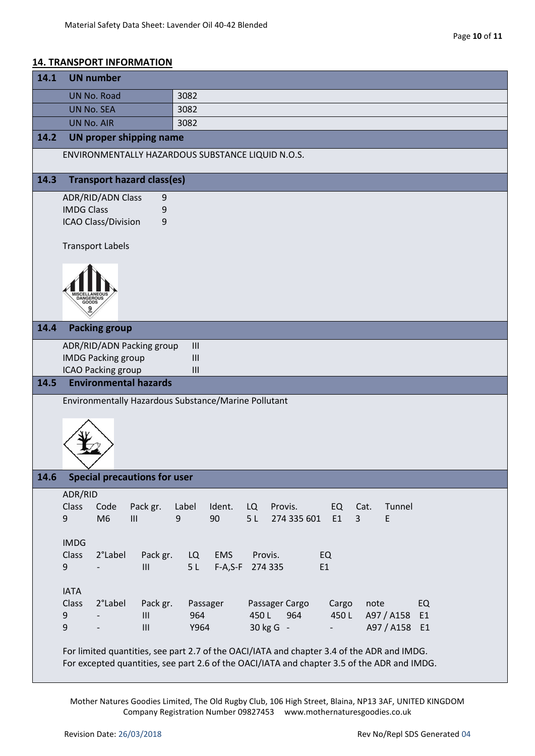## **14. TRANSPORT INFORMATION**

| 14.1 | <b>UN number</b>                                                                                                                                                                          |                 |                 |              |                       |                          |                    |                      |
|------|-------------------------------------------------------------------------------------------------------------------------------------------------------------------------------------------|-----------------|-----------------|--------------|-----------------------|--------------------------|--------------------|----------------------|
|      | <b>UN No. Road</b>                                                                                                                                                                        |                 | 3082            |              |                       |                          |                    |                      |
|      | <b>UN No. SEA</b>                                                                                                                                                                         |                 | 3082            |              |                       |                          |                    |                      |
|      | <b>UN No. AIR</b>                                                                                                                                                                         |                 | 3082            |              |                       |                          |                    |                      |
| 14.2 | <b>UN proper shipping name</b>                                                                                                                                                            |                 |                 |              |                       |                          |                    |                      |
|      | ENVIRONMENTALLY HAZARDOUS SUBSTANCE LIQUID N.O.S.                                                                                                                                         |                 |                 |              |                       |                          |                    |                      |
| 14.3 | <b>Transport hazard class(es)</b>                                                                                                                                                         |                 |                 |              |                       |                          |                    |                      |
|      | <b>ADR/RID/ADN Class</b>                                                                                                                                                                  | 9               |                 |              |                       |                          |                    |                      |
|      | <b>IMDG Class</b>                                                                                                                                                                         | 9               |                 |              |                       |                          |                    |                      |
|      | <b>ICAO Class/Division</b>                                                                                                                                                                | 9               |                 |              |                       |                          |                    |                      |
|      | <b>Transport Labels</b>                                                                                                                                                                   |                 |                 |              |                       |                          |                    |                      |
|      |                                                                                                                                                                                           |                 |                 |              |                       |                          |                    |                      |
|      |                                                                                                                                                                                           |                 |                 |              |                       |                          |                    |                      |
|      |                                                                                                                                                                                           |                 |                 |              |                       |                          |                    |                      |
|      | GOOD:                                                                                                                                                                                     |                 |                 |              |                       |                          |                    |                      |
| 14.4 | <b>Packing group</b>                                                                                                                                                                      |                 |                 |              |                       |                          |                    |                      |
|      | ADR/RID/ADN Packing group                                                                                                                                                                 |                 | III             |              |                       |                          |                    |                      |
|      | <b>IMDG Packing group</b>                                                                                                                                                                 |                 | $\mathbf{III}$  |              |                       |                          |                    |                      |
|      | ICAO Packing group                                                                                                                                                                        |                 | III             |              |                       |                          |                    |                      |
| 14.5 | <b>Environmental hazards</b>                                                                                                                                                              |                 |                 |              |                       |                          |                    |                      |
|      | Environmentally Hazardous Substance/Marine Pollutant                                                                                                                                      |                 |                 |              |                       |                          |                    |                      |
|      |                                                                                                                                                                                           |                 |                 |              |                       |                          |                    |                      |
|      |                                                                                                                                                                                           |                 |                 |              |                       |                          |                    |                      |
|      |                                                                                                                                                                                           |                 |                 |              |                       |                          |                    |                      |
|      |                                                                                                                                                                                           |                 |                 |              |                       |                          |                    |                      |
|      |                                                                                                                                                                                           |                 |                 |              |                       |                          |                    |                      |
| 14.6 | <b>Special precautions for user</b>                                                                                                                                                       |                 |                 |              |                       |                          |                    |                      |
|      | ADR/RID                                                                                                                                                                                   |                 |                 |              |                       |                          |                    |                      |
|      | Class<br>Code                                                                                                                                                                             | Pack gr.        | Label           | Ident.<br>LQ | Provis.               | EQ                       | Tunnel<br>Cat.     |                      |
|      | M <sub>6</sub><br>9                                                                                                                                                                       | III             | 90<br>9         | 5L           | 274 335 601           | E1<br>$\overline{3}$     | E                  |                      |
|      | <b>IMDG</b>                                                                                                                                                                               |                 |                 |              |                       |                          |                    |                      |
|      | 2°Label<br>Class                                                                                                                                                                          | Pack gr.        | LQ              | <b>EMS</b>   | Provis.               | EQ                       |                    |                      |
|      | 9                                                                                                                                                                                         | III             | 5L              | $F-A, S-F$   | 274 335               | E1                       |                    |                      |
|      |                                                                                                                                                                                           |                 |                 |              |                       |                          |                    |                      |
|      | <b>IATA</b>                                                                                                                                                                               |                 |                 |              |                       |                          |                    |                      |
|      | Class<br>2°Label<br>9                                                                                                                                                                     | Pack gr.<br>III | Passager<br>964 | 450L         | Passager Cargo<br>964 | Cargo<br>450L            | note<br>A97 / A158 | EQ<br>E <sub>1</sub> |
|      | 9                                                                                                                                                                                         | III             | Y964            |              | 30 kg G -             | $\overline{\phantom{0}}$ | A97 / A158 E1      |                      |
|      |                                                                                                                                                                                           |                 |                 |              |                       |                          |                    |                      |
|      | For limited quantities, see part 2.7 of the OACI/IATA and chapter 3.4 of the ADR and IMDG.<br>For excepted quantities, see part 2.6 of the OACI/IATA and chapter 3.5 of the ADR and IMDG. |                 |                 |              |                       |                          |                    |                      |